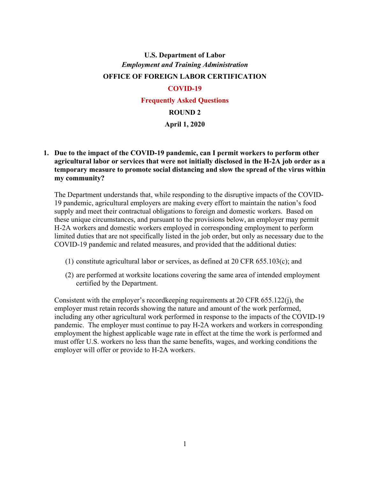# **U.S. Department of Labor** *Employment and Training Administration* **OFFICE OF FOREIGN LABOR CERTIFICATION COVID-19**

**Frequently Asked Questions**

#### **ROUND 2**

#### **April 1, 2020**

**1. Due to the impact of the COVID-19 pandemic, can I permit workers to perform other agricultural labor or services that were not initially disclosed in the H-2A job order as a temporary measure to promote social distancing and slow the spread of the virus within my community?**

The Department understands that, while responding to the disruptive impacts of the COVID-19 pandemic, agricultural employers are making every effort to maintain the nation's food supply and meet their contractual obligations to foreign and domestic workers. Based on these unique circumstances, and pursuant to the provisions below, an employer may permit H-2A workers and domestic workers employed in corresponding employment to perform limited duties that are not specifically listed in the job order, but only as necessary due to the COVID-19 pandemic and related measures, and provided that the additional duties:

- (1) constitute agricultural labor or services, as defined at 20 CFR 655.103(c); and
- (2) are performed at worksite locations covering the same area of intended employment certified by the Department.

Consistent with the employer's recordkeeping requirements at 20 CFR 655.122(j), the employer must retain records showing the nature and amount of the work performed, including any other agricultural work performed in response to the impacts of the COVID-19 pandemic. The employer must continue to pay H-2A workers and workers in corresponding employment the highest applicable wage rate in effect at the time the work is performed and must offer U.S. workers no less than the same benefits, wages, and working conditions the employer will offer or provide to H-2A workers.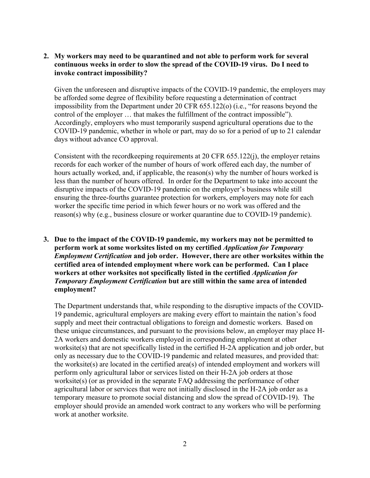#### **2. My workers may need to be quarantined and not able to perform work for several continuous weeks in order to slow the spread of the COVID-19 virus. Do I need to invoke contract impossibility?**

Given the unforeseen and disruptive impacts of the COVID-19 pandemic, the employers may be afforded some degree of flexibility before requesting a determination of contract impossibility from the Department under 20 CFR 655.122(o) (i.e., "for reasons beyond the control of the employer … that makes the fulfillment of the contract impossible"). Accordingly, employers who must temporarily suspend agricultural operations due to the COVID-19 pandemic, whether in whole or part, may do so for a period of up to 21 calendar days without advance CO approval.

Consistent with the recordkeeping requirements at 20 CFR 655.122(j), the employer retains records for each worker of the number of hours of work offered each day, the number of hours actually worked, and, if applicable, the reason(s) why the number of hours worked is less than the number of hours offered. In order for the Department to take into account the disruptive impacts of the COVID-19 pandemic on the employer's business while still ensuring the three-fourths guarantee protection for workers, employers may note for each worker the specific time period in which fewer hours or no work was offered and the reason(s) why (e.g., business closure or worker quarantine due to COVID-19 pandemic).

# **3. Due to the impact of the COVID-19 pandemic, my workers may not be permitted to perform work at some worksites listed on my certified** *Application for Temporary Employment Certification* **and job order. However, there are other worksites within the certified area of intended employment where work can be performed. Can I place workers at other worksites not specifically listed in the certified** *Application for Temporary Employment Certification* **but are still within the same area of intended employment?**

The Department understands that, while responding to the disruptive impacts of the COVID-19 pandemic, agricultural employers are making every effort to maintain the nation's food supply and meet their contractual obligations to foreign and domestic workers. Based on these unique circumstances, and pursuant to the provisions below, an employer may place H-2A workers and domestic workers employed in corresponding employment at other worksite(s) that are not specifically listed in the certified H-2A application and job order, but only as necessary due to the COVID-19 pandemic and related measures, and provided that: the worksite(s) are located in the certified area(s) of intended employment and workers will perform only agricultural labor or services listed on their H-2A job orders at those worksite(s) (or as provided in the separate FAQ addressing the performance of other agricultural labor or services that were not initially disclosed in the H-2A job order as a temporary measure to promote social distancing and slow the spread of COVID-19). The employer should provide an amended work contract to any workers who will be performing work at another worksite.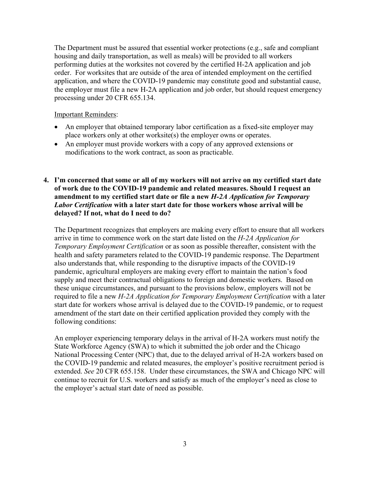The Department must be assured that essential worker protections (e.g., safe and compliant housing and daily transportation, as well as meals) will be provided to all workers performing duties at the worksites not covered by the certified H-2A application and job order. For worksites that are outside of the area of intended employment on the certified application, and where the COVID-19 pandemic may constitute good and substantial cause, the employer must file a new H-2A application and job order, but should request emergency processing under 20 CFR 655.134.

#### Important Reminders:

- An employer that obtained temporary labor certification as a fixed-site employer may place workers only at other worksite(s) the employer owns or operates.
- An employer must provide workers with a copy of any approved extensions or modifications to the work contract, as soon as practicable.
- **4. I'm concerned that some or all of my workers will not arrive on my certified start date of work due to the COVID-19 pandemic and related measures. Should I request an amendment to my certified start date or file a new** *H-2A Application for Temporary Labor Certification* **with a later start date for those workers whose arrival will be delayed? If not, what do I need to do?**

The Department recognizes that employers are making every effort to ensure that all workers arrive in time to commence work on the start date listed on the *H-2A Application for Temporary Employment Certification* or as soon as possible thereafter, consistent with the health and safety parameters related to the COVID-19 pandemic response. The Department also understands that, while responding to the disruptive impacts of the COVID-19 pandemic, agricultural employers are making every effort to maintain the nation's food supply and meet their contractual obligations to foreign and domestic workers. Based on these unique circumstances, and pursuant to the provisions below, employers will not be required to file a new *H-2A Application for Temporary Employment Certification* with a later start date for workers whose arrival is delayed due to the COVID-19 pandemic, or to request amendment of the start date on their certified application provided they comply with the following conditions:

An employer experiencing temporary delays in the arrival of H-2A workers must notify the State Workforce Agency (SWA) to which it submitted the job order and the Chicago National Processing Center (NPC) that, due to the delayed arrival of H-2A workers based on the COVID-19 pandemic and related measures, the employer's positive recruitment period is extended. *See* 20 CFR 655.158. Under these circumstances, the SWA and Chicago NPC will continue to recruit for U.S. workers and satisfy as much of the employer's need as close to the employer's actual start date of need as possible.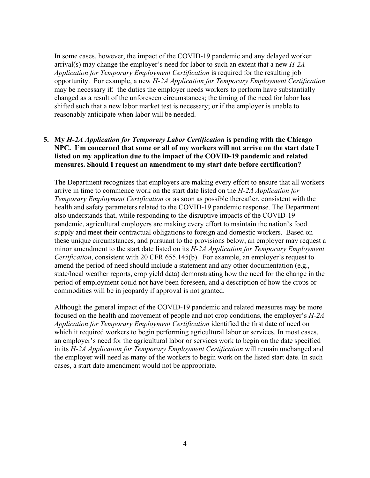In some cases, however, the impact of the COVID-19 pandemic and any delayed worker arrival(s) may change the employer's need for labor to such an extent that a new *H-2A Application for Temporary Employment Certification* is required for the resulting job opportunity. For example, a new *H-2A Application for Temporary Employment Certification* may be necessary if: the duties the employer needs workers to perform have substantially changed as a result of the unforeseen circumstances; the timing of the need for labor has shifted such that a new labor market test is necessary; or if the employer is unable to reasonably anticipate when labor will be needed.

# **5. My** *H-2A Application for Temporary Labor Certification* **is pending with the Chicago NPC. I'm concerned that some or all of my workers will not arrive on the start date I listed on my application due to the impact of the COVID-19 pandemic and related measures. Should I request an amendment to my start date before certification?**

The Department recognizes that employers are making every effort to ensure that all workers arrive in time to commence work on the start date listed on the *H-2A Application for Temporary Employment Certification* or as soon as possible thereafter, consistent with the health and safety parameters related to the COVID-19 pandemic response. The Department also understands that, while responding to the disruptive impacts of the COVID-19 pandemic, agricultural employers are making every effort to maintain the nation's food supply and meet their contractual obligations to foreign and domestic workers. Based on these unique circumstances, and pursuant to the provisions below, an employer may request a minor amendment to the start date listed on its *H-2A Application for Temporary Employment Certification*, consistent with 20 CFR 655.145(b). For example, an employer's request to amend the period of need should include a statement and any other documentation (e.g., state/local weather reports, crop yield data) demonstrating how the need for the change in the period of employment could not have been foreseen, and a description of how the crops or commodities will be in jeopardy if approval is not granted.

Although the general impact of the COVID-19 pandemic and related measures may be more focused on the health and movement of people and not crop conditions, the employer's *H-2A Application for Temporary Employment Certification* identified the first date of need on which it required workers to begin performing agricultural labor or services. In most cases, an employer's need for the agricultural labor or services work to begin on the date specified in its *H-2A Application for Temporary Employment Certification* will remain unchanged and the employer will need as many of the workers to begin work on the listed start date. In such cases, a start date amendment would not be appropriate.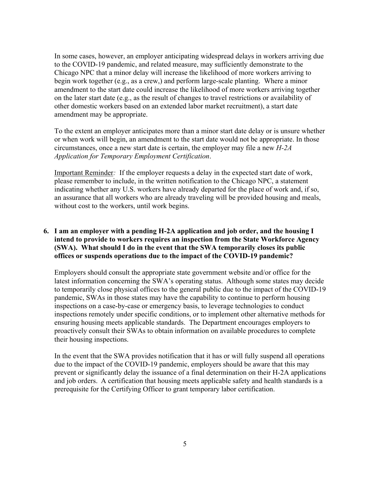In some cases, however, an employer anticipating widespread delays in workers arriving due to the COVID-19 pandemic, and related measure, may sufficiently demonstrate to the Chicago NPC that a minor delay will increase the likelihood of more workers arriving to begin work together (e.g., as a crew,) and perform large-scale planting. Where a minor amendment to the start date could increase the likelihood of more workers arriving together on the later start date (e.g., as the result of changes to travel restrictions or availability of other domestic workers based on an extended labor market recruitment), a start date amendment may be appropriate.

To the extent an employer anticipates more than a minor start date delay or is unsure whether or when work will begin, an amendment to the start date would not be appropriate. In those circumstances, once a new start date is certain, the employer may file a new *H-2A Application for Temporary Employment Certification*.

Important Reminder*:* If the employer requests a delay in the expected start date of work, please remember to include, in the written notification to the Chicago NPC, a statement indicating whether any U.S. workers have already departed for the place of work and, if so, an assurance that all workers who are already traveling will be provided housing and meals, without cost to the workers, until work begins.

# **6. I am an employer with a pending H-2A application and job order, and the housing I intend to provide to workers requires an inspection from the State Workforce Agency (SWA). What should I do in the event that the SWA temporarily closes its public offices or suspends operations due to the impact of the COVID-19 pandemic?**

Employers should consult the appropriate state government website and/or office for the latest information concerning the SWA's operating status. Although some states may decide to temporarily close physical offices to the general public due to the impact of the COVID-19 pandemic, SWAs in those states may have the capability to continue to perform housing inspections on a case-by-case or emergency basis, to leverage technologies to conduct inspections remotely under specific conditions, or to implement other alternative methods for ensuring housing meets applicable standards. The Department encourages employers to proactively consult their SWAs to obtain information on available procedures to complete their housing inspections.

In the event that the SWA provides notification that it has or will fully suspend all operations due to the impact of the COVID-19 pandemic, employers should be aware that this may prevent or significantly delay the issuance of a final determination on their H-2A applications and job orders. A certification that housing meets applicable safety and health standards is a prerequisite for the Certifying Officer to grant temporary labor certification.